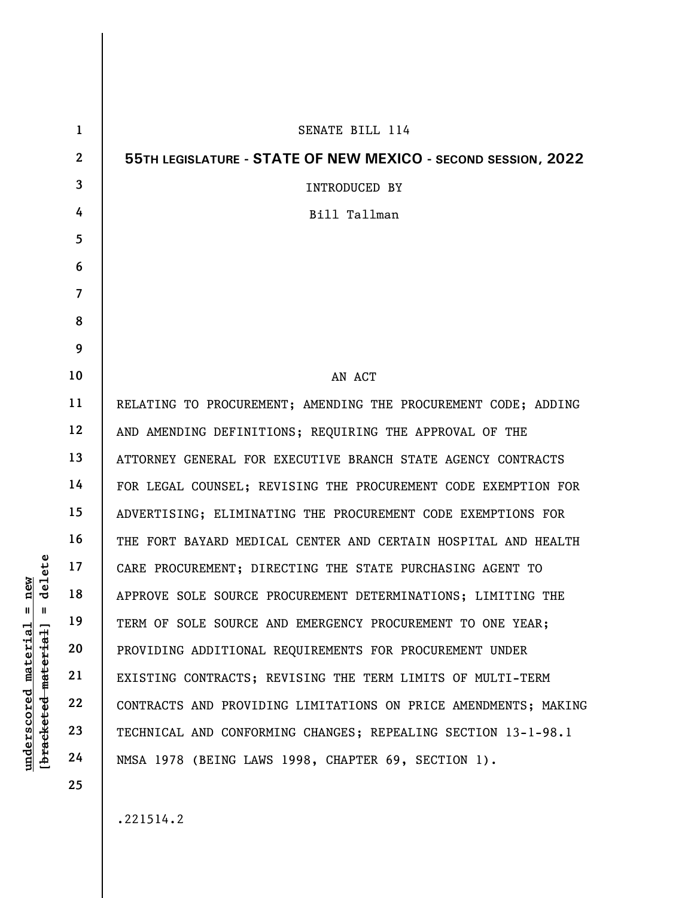|                                  | $\mathbf{1}$   | SENATE BILL 114                                                 |
|----------------------------------|----------------|-----------------------------------------------------------------|
|                                  | $\overline{2}$ | 55TH LEGISLATURE - STATE OF NEW MEXICO - SECOND SESSION, 2022   |
|                                  | 3              | <b>INTRODUCED BY</b>                                            |
|                                  | 4              | Bill Tallman                                                    |
|                                  | 5              |                                                                 |
|                                  | 6              |                                                                 |
|                                  | $\overline{7}$ |                                                                 |
|                                  | 8              |                                                                 |
|                                  | 9              |                                                                 |
|                                  | 10             | AN ACT                                                          |
|                                  | 11             | RELATING TO PROCUREMENT; AMENDING THE PROCUREMENT CODE; ADDING  |
|                                  | 12             | AND AMENDING DEFINITIONS; REQUIRING THE APPROVAL OF THE         |
|                                  | 13             | ATTORNEY GENERAL FOR EXECUTIVE BRANCH STATE AGENCY CONTRACTS    |
|                                  | 14             | FOR LEGAL COUNSEL; REVISING THE PROCUREMENT CODE EXEMPTION FOR  |
|                                  | 15             | ADVERTISING; ELIMINATING THE PROCUREMENT CODE EXEMPTIONS FOR    |
|                                  | 16             | THE FORT BAYARD MEDICAL CENTER AND CERTAIN HOSPITAL AND HEALTH  |
| delete                           | 17             | CARE PROCUREMENT; DIRECTING THE STATE PURCHASING AGENT TO       |
| new                              | 18             | APPROVE SOLE SOURCE PROCUREMENT DETERMINATIONS; LIMITING THE    |
| Ш<br>- II                        | 19             | TERM OF SOLE SOURCE AND EMERGENCY PROCUREMENT TO ONE YEAR;      |
| $\mathtt{materidal}$<br>material | 20             | PROVIDING ADDITIONAL REQUIREMENTS FOR PROCUREMENT UNDER         |
|                                  | 21             | EXISTING CONTRACTS; REVISING THE TERM LIMITS OF MULTI-TERM      |
| underscored                      | 22             | CONTRACTS AND PROVIDING LIMITATIONS ON PRICE AMENDMENTS; MAKING |
|                                  | 23             | TECHNICAL AND CONFORMING CHANGES; REPEALING SECTION 13-1-98.1   |
| [bracketed                       | 24             | NMSA 1978 (BEING LAWS 1998, CHAPTER 69, SECTION 1).             |
|                                  | 25             |                                                                 |

.221514.2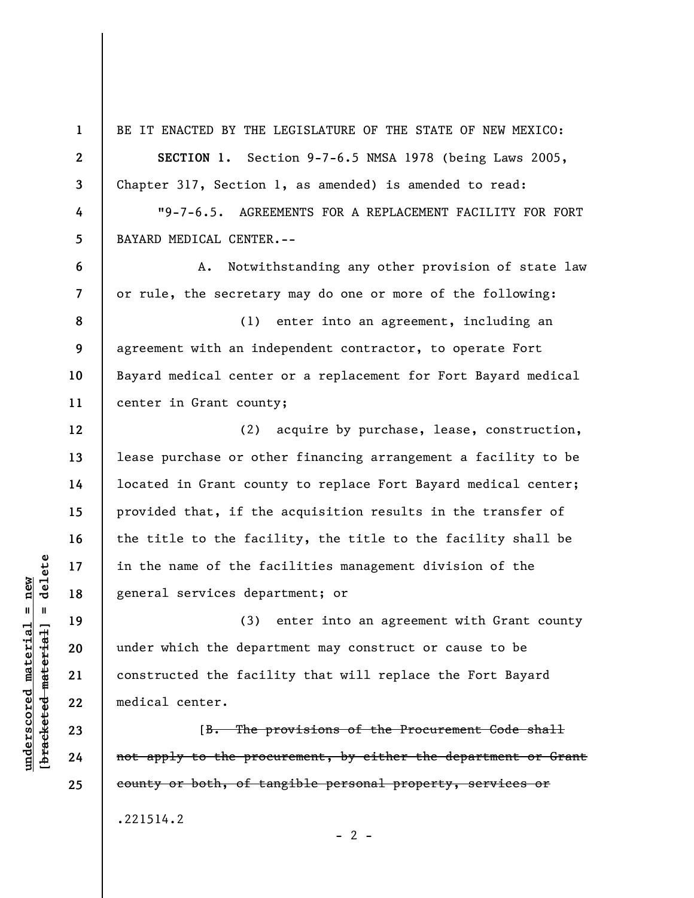under of the fame of the fame of the fame of the fame of the fame of the fame of the fame of the fame of the fame of the fame of the separation of the departured the departured the facil constructed the facil medical cente 1 2 3 4 5 6 7 8 9 10 11 12 13 14 15 16 17 18 19 20 21 22 BE IT ENACTED BY THE LEGISLATURE OF THE STATE OF NEW MEXICO: SECTION 1. Section 9-7-6.5 NMSA 1978 (being Laws 2005, Chapter 317, Section 1, as amended) is amended to read: BAYARD MEDICAL CENTER.- or rule, the secretary may do one or more of the following: (1) enter into an agreement, including an agreement with an independent contractor, to operate Fort center in Grant county; in the name of the facilities management division of the general services department; or (3) enter into an agreement with Grant county under which the department may construct or cause to be constructed the facility that will replace the Fort Bayard medical center.

[B. The provisions of the Procurement Code shall not apply to the procurement, by either the department or Grant county or both, of tangible personal property, services or

 $- 2 -$ 

.221514.2

23

24

25

"9-7-6.5. AGREEMENTS FOR A REPLACEMENT FACILITY FOR FORT

A. Notwithstanding any other provision of state law

Bayard medical center or a replacement for Fort Bayard medical

(2) acquire by purchase, lease, construction, lease purchase or other financing arrangement a facility to be located in Grant county to replace Fort Bayard medical center; provided that, if the acquisition results in the transfer of the title to the facility, the title to the facility shall be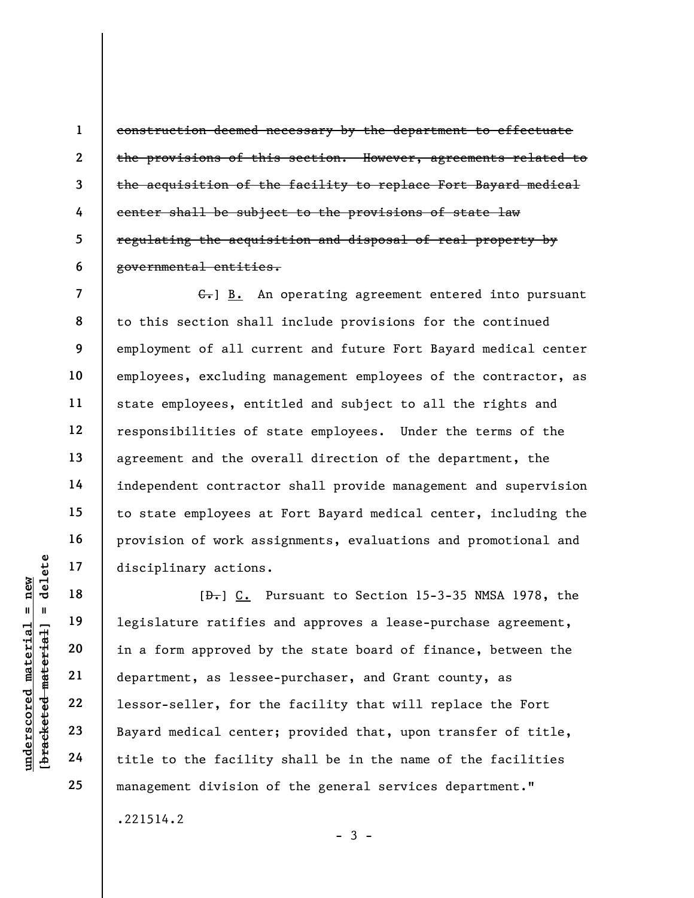construction deemed necessary by the department to effectuate the provisions of this section. However, agreements related to the acquisition of the facility to replace Fort Bayard medical center shall be subject to the provisions of state law regulating the acquisition and disposal of real property by governmental entities.

7 8 9 10 11 12 13 14 15 16 17  $\left\{ \cdot \right\}$  B. An operating agreement entered into pursuant to this section shall include provisions for the continued employment of all current and future Fort Bayard medical center employees, excluding management employees of the contractor, as state employees, entitled and subject to all the rights and responsibilities of state employees. Under the terms of the agreement and the overall direction of the department, the independent contractor shall provide management and supervision to state employees at Fort Bayard medical center, including the provision of work assignments, evaluations and promotional and disciplinary actions.

underscored material = new [bracketed material] = delete  $[\frac{D-1}{2}]$  C. Pursuant to Section 15-3-35 NMSA 1978, the legislature ratifies and approves a lease-purchase agreement, in a form approved by the state board of finance, between the department, as lessee-purchaser, and Grant county, as lessor-seller, for the facility that will replace the Fort Bayard medical center; provided that, upon transfer of title, title to the facility shall be in the name of the facilities management division of the general services department."

 $-3 -$ 

.221514.2

18

19

20

21

22

23

24

25

1

2

3

4

5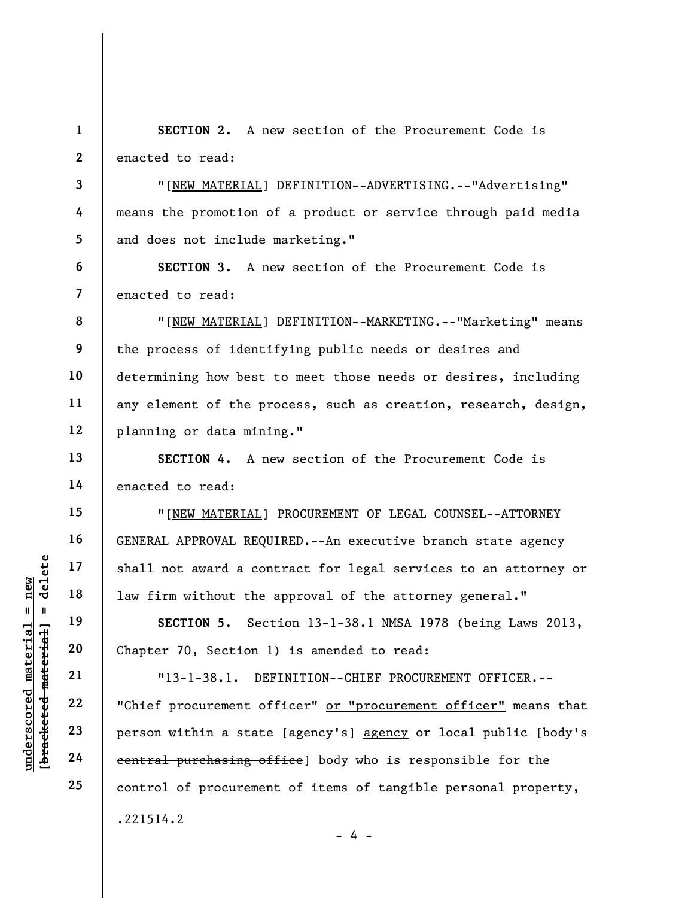1 2 SECTION 2. A new section of the Procurement Code is enacted to read:

"[NEW MATERIAL] DEFINITION--ADVERTISING.--"Advertising" means the promotion of a product or service through paid media and does not include marketing."

7 SECTION 3. A new section of the Procurement Code is enacted to read:

8 9 10 11 12 "[NEW MATERIAL] DEFINITION--MARKETING.--"Marketing" means the process of identifying public needs or desires and determining how best to meet those needs or desires, including any element of the process, such as creation, research, design, planning or data mining."

SECTION 4. A new section of the Procurement Code is enacted to read:

"[NEW MATERIAL] PROCUREMENT OF LEGAL COUNSEL--ATTORNEY GENERAL APPROVAL REQUIRED.--An executive branch state agency shall not award a contract for legal services to an attorney or law firm without the approval of the attorney general."

SECTION 5. Section 13-1-38.1 NMSA 1978 (being Laws 2013, Chapter 70, Section 1) is amended to read:

understand material material material enterprise of the section of the section of the section of the section of the section of the section of the section of the section of the section of the section of the section of the s "13-1-38.1. DEFINITION--CHIEF PROCUREMENT OFFICER.-- "Chief procurement officer" or "procurement officer" means that person within a state [agency's] agency or local public [body's central purchasing office] body who is responsible for the control of procurement of items of tangible personal property, .221514.2

 $- 4 -$ 

3

4

5

6

13

14

15

16

17

18

19

20

21

22

23

24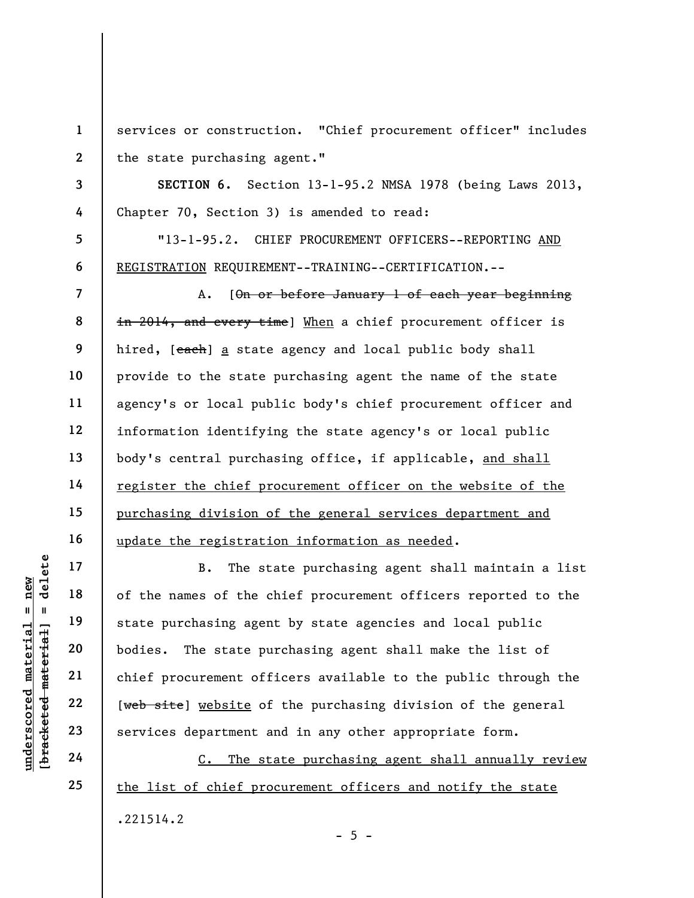services or construction. "Chief procurement officer" includes the state purchasing agent."

SECTION 6. Section 13-1-95.2 NMSA 1978 (being Laws 2013, Chapter 70, Section 3) is amended to read:

"13-1-95.2. CHIEF PROCUREMENT OFFICERS--REPORTING AND REGISTRATION REQUIREMENT--TRAINING--CERTIFICATION.--

A. [On or before January 1 of each year beginning in 2014, and every time] When a chief procurement officer is hired, [each] a state agency and local public body shall provide to the state purchasing agent the name of the state agency's or local public body's chief procurement officer and information identifying the state agency's or local public body's central purchasing office, if applicable, and shall register the chief procurement officer on the website of the purchasing division of the general services department and update the registration information as needed.

understand material material of the names of the correct of the state purchasing agent and all the state purchasing agent of the state purchasing agent and the state purchasing agent of the state purchasing agent of the st B. The state purchasing agent shall maintain a list of the names of the chief procurement officers reported to the state purchasing agent by state agencies and local public bodies. The state purchasing agent shall make the list of chief procurement officers available to the public through the [web site] website of the purchasing division of the general services department and in any other appropriate form.

C. The state purchasing agent shall annually review the list of chief procurement officers and notify the state .221514.2  $- 5 -$ 

1

2

3

4

5

6

7

8

9

10

11

12

13

14

15

16

17

18

19

20

21

22

23

24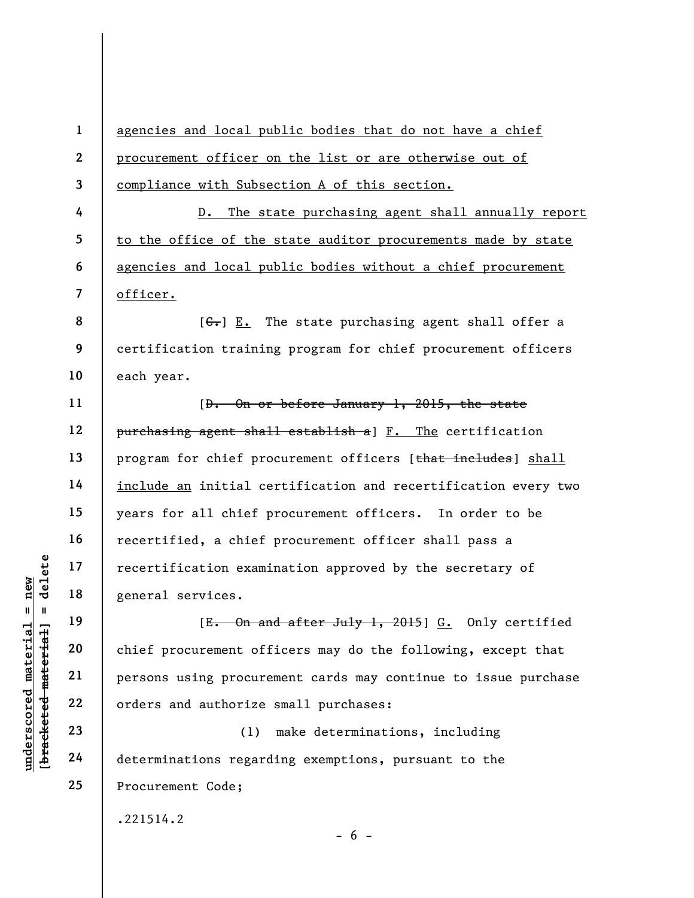under 17<br>
and 18<br>
under 18<br>
under 19<br>
20<br>
under 19<br>
21<br>
22<br>
under 22<br>
23<br>
24<br>
determinations regard<br>
determinations regard<br>
determinations regard<br>
24<br>
determinations regard 1 2 3 4 5 6 7 8 9 10 11 12 13 14 15 16 17 18 19 20 21 22 23 24 25 agencies and local public bodies that do not have a chief procurement officer on the list or are otherwise out of compliance with Subsection A of this section. D. The state purchasing agent shall annually report to the office of the state auditor procurements made by state agencies and local public bodies without a chief procurement officer.  $[G<sub>1</sub>]$  E. The state purchasing agent shall offer a certification training program for chief procurement officers each year. [D. On or before January 1, 2015, the state purchasing agent shall establish a] F. The certification program for chief procurement officers [that includes] shall include an initial certification and recertification every two years for all chief procurement officers. In order to be recertified, a chief procurement officer shall pass a recertification examination approved by the secretary of general services. [E. On and after July 1, 2015] G. Only certified chief procurement officers may do the following, except that persons using procurement cards may continue to issue purchase orders and authorize small purchases: (1) make determinations, including determinations regarding exemptions, pursuant to the Procurement Code; .221514.2

 $- 6 -$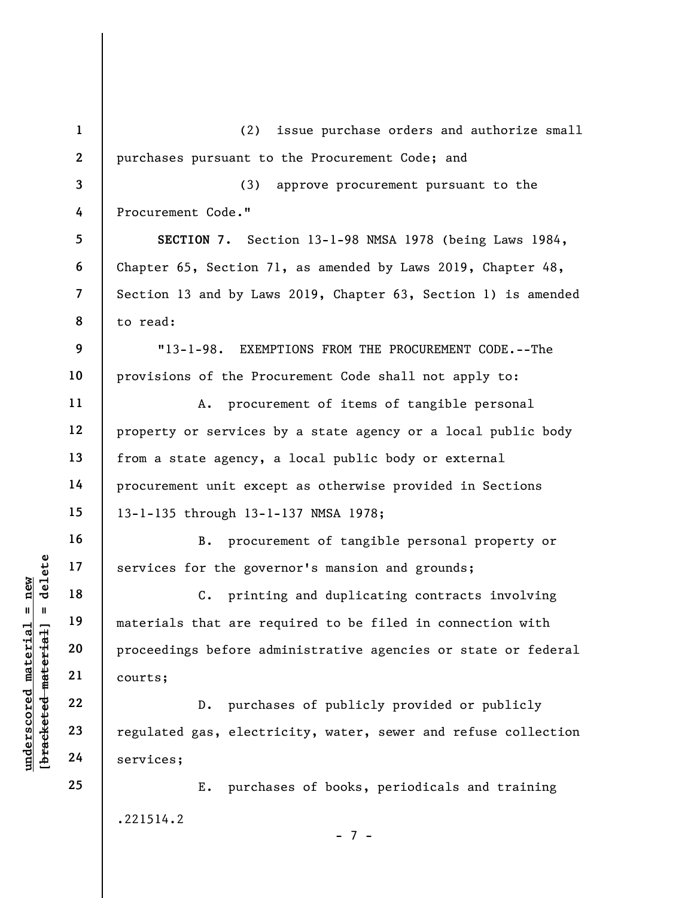|                                | $\mathbf{1}$   | issue purchase orders and authorize small<br>(2)               |
|--------------------------------|----------------|----------------------------------------------------------------|
|                                | $\mathbf{2}$   | purchases pursuant to the Procurement Code; and                |
|                                | 3              | approve procurement pursuant to the<br>(3)                     |
|                                | 4              | Procurement Code."                                             |
|                                | 5              | SECTION 7. Section 13-1-98 NMSA 1978 (being Laws 1984,         |
|                                | 6              | Chapter 65, Section 71, as amended by Laws 2019, Chapter 48,   |
|                                | $\overline{7}$ | Section 13 and by Laws 2019, Chapter 63, Section 1) is amended |
|                                | 8              | to read:                                                       |
|                                | 9              | $"13-1-98.$<br>EXEMPTIONS FROM THE PROCUREMENT CODE. -- The    |
|                                | 10             | provisions of the Procurement Code shall not apply to:         |
|                                | 11             | procurement of items of tangible personal<br>Α.                |
|                                | 12             | property or services by a state agency or a local public body  |
|                                | 13             | from a state agency, a local public body or external           |
|                                | 14             | procurement unit except as otherwise provided in Sections      |
|                                | 15             | 13-1-135 through 13-1-137 NMSA 1978;                           |
|                                | 16             | procurement of tangible personal property or<br><b>B.</b>      |
| delete                         | 17             | services for the governor's mansion and grounds;               |
| nev                            | 18             | C. printing and duplicating contracts involving                |
| $\mathbf{II}^-$<br>- II        | 19             | materials that are required to be filed in connection with     |
| material<br>bracketed material | 20             | proceedings before administrative agencies or state or federal |
|                                | 21             | courts;                                                        |
| underscored                    | 22             | purchases of publicly provided or publicly<br>D.               |
|                                | 23             | regulated gas, electricity, water, sewer and refuse collection |
|                                | 24             | services;                                                      |
|                                | 25             | purchases of books, periodicals and training<br>Ε.             |
|                                |                | .221514.2<br>- 7 -                                             |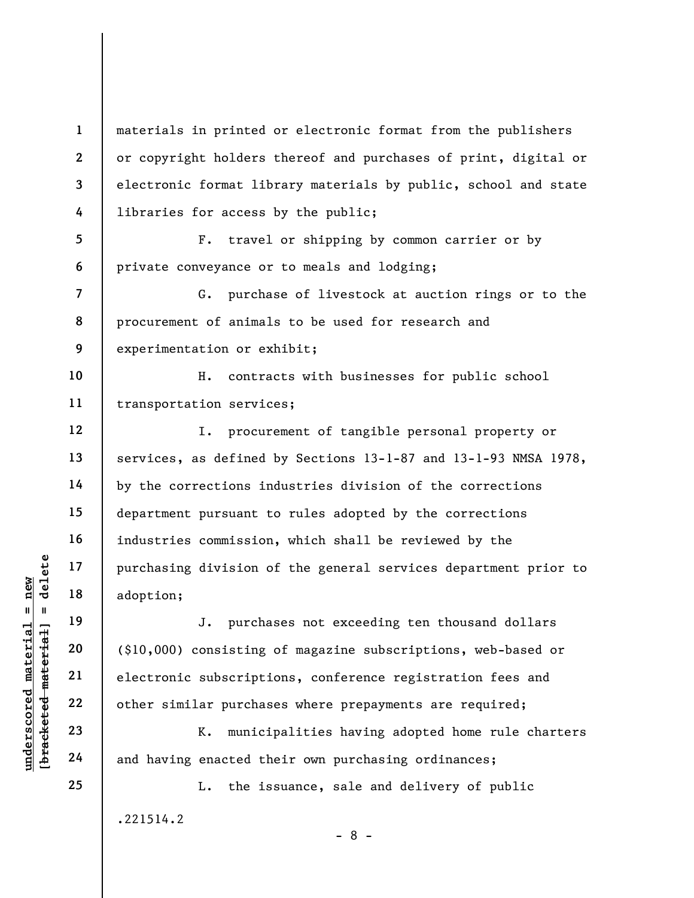1 2 3 4 materials in printed or electronic format from the publishers or copyright holders thereof and purchases of print, digital or electronic format library materials by public, school and state libraries for access by the public;

5 6 F. travel or shipping by common carrier or by private conveyance or to meals and lodging;

G. purchase of livestock at auction rings or to the procurement of animals to be used for research and experimentation or exhibit;

10 11 H. contracts with businesses for public school transportation services;

I. procurement of tangible personal property or services, as defined by Sections 13-1-87 and 13-1-93 NMSA 1978, by the corrections industries division of the corrections department pursuant to rules adopted by the corrections industries commission, which shall be reviewed by the purchasing division of the general services department prior to adoption;

underscored material = new [bracketed material] = delete J. purchases not exceeding ten thousand dollars (\$10,000) consisting of magazine subscriptions, web-based or electronic subscriptions, conference registration fees and other similar purchases where prepayments are required;

K. municipalities having adopted home rule charters and having enacted their own purchasing ordinances;

.221514.2

7

8

9

12

13

14

15

16

17

18

19

20

21

22

23

24

25

- 8 -

L. the issuance, sale and delivery of public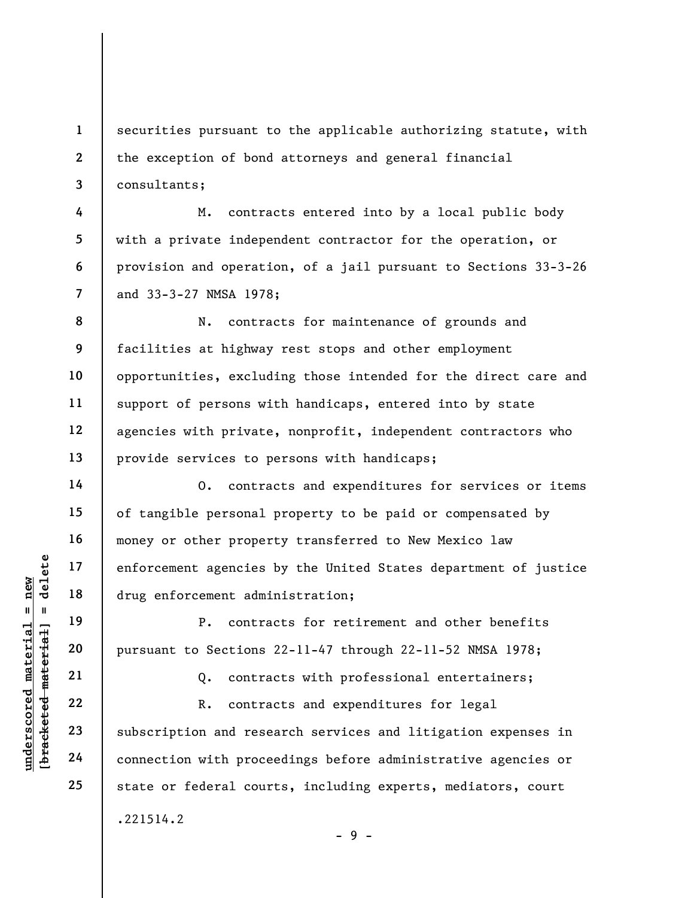1 2 3 securities pursuant to the applicable authorizing statute, with the exception of bond attorneys and general financial consultants;

M. contracts entered into by a local public body with a private independent contractor for the operation, or provision and operation, of a jail pursuant to Sections 33-3-26 and 33-3-27 NMSA 1978;

8 9 10 11 12 13 N. contracts for maintenance of grounds and facilities at highway rest stops and other employment opportunities, excluding those intended for the direct care and support of persons with handicaps, entered into by state agencies with private, nonprofit, independent contractors who provide services to persons with handicaps;

O. contracts and expenditures for services or items of tangible personal property to be paid or compensated by money or other property transferred to New Mexico law enforcement agencies by the United States department of justice drug enforcement administration;

P. contracts for retirement and other benefits pursuant to Sections 22-11-47 through 22-11-52 NMSA 1978;

Q. contracts with professional entertainers;

understand material external states<br>
and the state of the set of the set of the set of the set of the set of the set of the set of the set of the set of the set of the set of the set of the set of the set of the set of the R. contracts and expenditures for legal subscription and research services and litigation expenses in connection with proceedings before administrative agencies or state or federal courts, including experts, mediators, court

 $-9 -$ 

.221514.2

4

5

6

7

14

15

16

17

18

19

20

21

22

23

24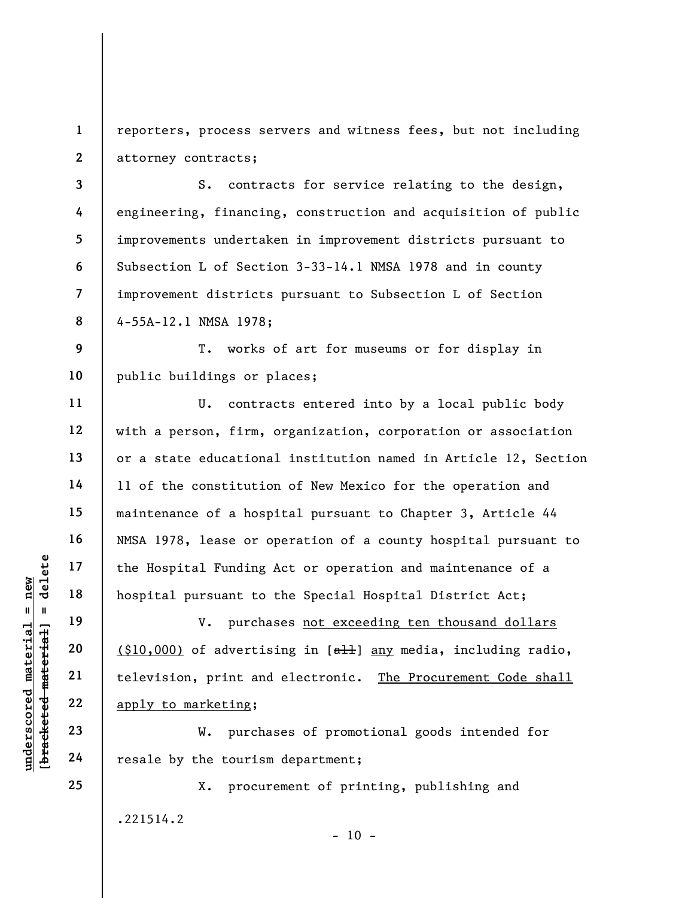1 2 reporters, process servers and witness fees, but not including attorney contracts;

3 4 5 6 7 8 S. contracts for service relating to the design, engineering, financing, construction and acquisition of public improvements undertaken in improvement districts pursuant to Subsection L of Section 3-33-14.1 NMSA 1978 and in county improvement districts pursuant to Subsection L of Section 4-55A-12.1 NMSA 1978;

9 10 T. works of art for museums or for display in public buildings or places;

U. contracts entered into by a local public body with a person, firm, organization, corporation or association or a state educational institution named in Article 12, Section 11 of the constitution of New Mexico for the operation and maintenance of a hospital pursuant to Chapter 3, Article 44 NMSA 1978, lease or operation of a county hospital pursuant to the Hospital Funding Act or operation and maintenance of a hospital pursuant to the Special Hospital District Act;

underscored material = new [bracketed material] = delete V. purchases not exceeding ten thousand dollars  $(10,000)$  of advertising in  $[**a**11]$  any media, including radio, television, print and electronic. The Procurement Code shall apply to marketing;

W. purchases of promotional goods intended for resale by the tourism department;

X. procurement of printing, publishing and .221514.2

 $- 10 -$ 

24 25

11

12

13

14

15

16

17

18

19

20

21

22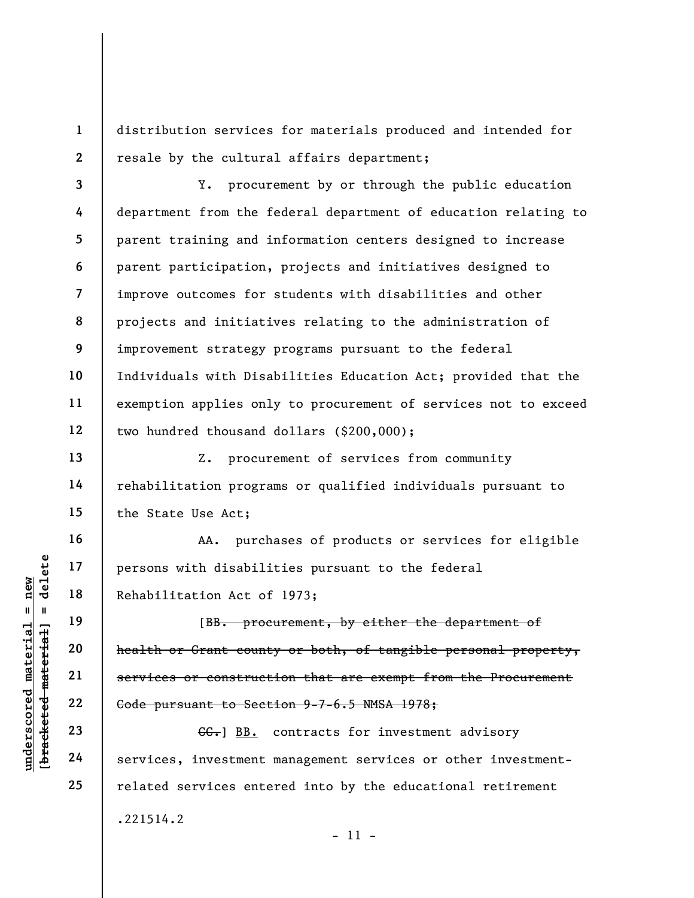1 2 distribution services for materials produced and intended for resale by the cultural affairs department;

3 4 5 6 7 8 9 10 11 12 Y. procurement by or through the public education department from the federal department of education relating to parent training and information centers designed to increase parent participation, projects and initiatives designed to improve outcomes for students with disabilities and other projects and initiatives relating to the administration of improvement strategy programs pursuant to the federal Individuals with Disabilities Education Act; provided that the exemption applies only to procurement of services not to exceed two hundred thousand dollars (\$200,000);

Z. procurement of services from community rehabilitation programs or qualified individuals pursuant to the State Use Act;

AA. purchases of products or services for eligible persons with disabilities pursuant to the federal Rehabilitation Act of 1973;

under 17<br>
= 18<br>
= 18<br>
= 19<br>
= 19<br>
= 19<br>
= 19<br>
= 19<br>
= 19<br>
= 19<br>
= 19<br>
= 19<br>
= 19<br>
= 19<br>
= 19<br>
= 19<br>
= 19<br>
= 19<br>
= 19<br>
= 19<br>
= 19<br>
= 19<br>
= 19<br>
= 19<br>
= 19<br>
= 19<br>
= 19<br>
= 19<br>
= 19<br>
= 19<br>
= 19<br>
= 19<br>
= 19<br>
= 19<br>
= 19<br>
= 19<br>
= [BB. procurement, by either the department of health or Grant county or both, of tangible personal property, services or construction that are exempt from the Procurement Code pursuant to Section 9-7-6.5 NMSA 1978;

 $\epsilon$ . BB. contracts for investment advisory services, investment management services or other investmentrelated services entered into by the educational retirement

- 11 -

.221514.2

13

14

15

16

17

18

19

20

21

22

23

24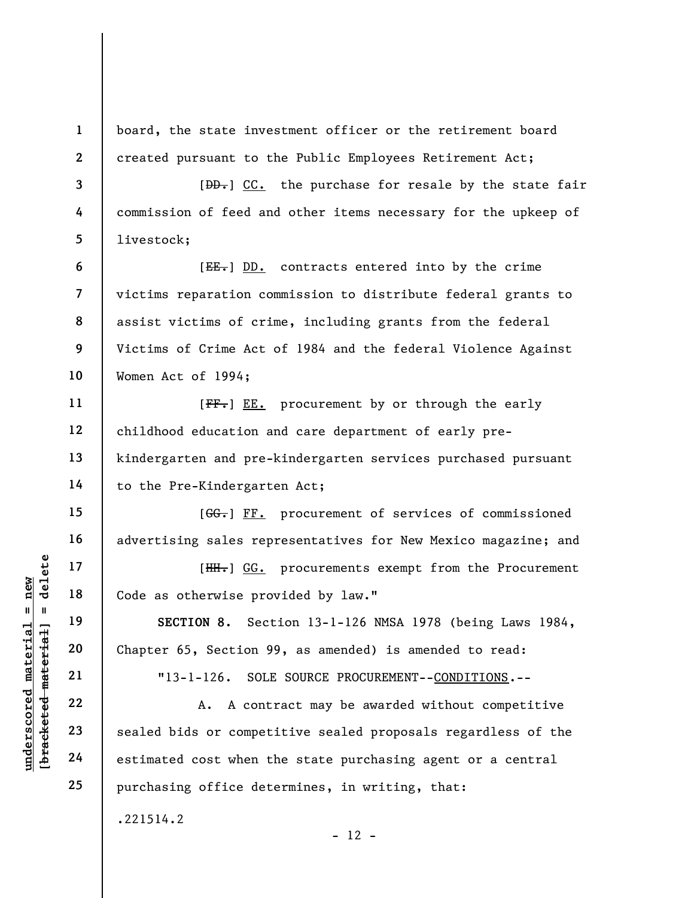board, the state investment officer or the retirement board created pursuant to the Public Employees Retirement Act;

 $[DD-]$  CC. the purchase for resale by the state fair commission of feed and other items necessary for the upkeep of livestock;

[EE.] DD. contracts entered into by the crime victims reparation commission to distribute federal grants to assist victims of crime, including grants from the federal Victims of Crime Act of 1984 and the federal Violence Against Women Act of 1994;

[FF.] EE. procurement by or through the early childhood education and care department of early prekindergarten and pre-kindergarten services purchased pursuant to the Pre-Kindergarten Act;

[GG.] FF. procurement of services of commissioned advertising sales representatives for New Mexico magazine; and

[ $HH.$ ] GG. procurements exempt from the Procurement Code as otherwise provided by law."

SECTION 8. Section 13-1-126 NMSA 1978 (being Laws 1984, Chapter 65, Section 99, as amended) is amended to read:

"13-1-126. SOLE SOURCE PROCUREMENT--CONDITIONS.--

UN EXECTION 8. Sec.<br>
20<br>
19<br>
19<br>
19<br>
20<br>
21<br>
22<br>
23<br>
24<br>
25<br>
24<br>
20<br>
24<br>
25<br>
29<br>
24<br>
20<br>
24<br>
20<br>
24<br>
20<br>
24<br>
20<br>
24<br>
20<br>
24<br>
20<br>
24<br>
20<br>
24<br>
24<br>
20<br>
24<br>
24<br>
20<br>
24<br>
20<br>
24<br>
24<br>
20<br>
24<br>
20<br>
24<br>
20<br>
24<br>
20<br>
24<br>
20<br>
20<br>
24<br>
2 A. A contract may be awarded without competitive sealed bids or competitive sealed proposals regardless of the estimated cost when the state purchasing agent or a central purchasing office determines, in writing, that:

 $- 12 -$ 

.221514.2

1

2

3

4

5

6

7

8

9

10

11

12

13

14

15

16

17

18

19

20

21

22

23

24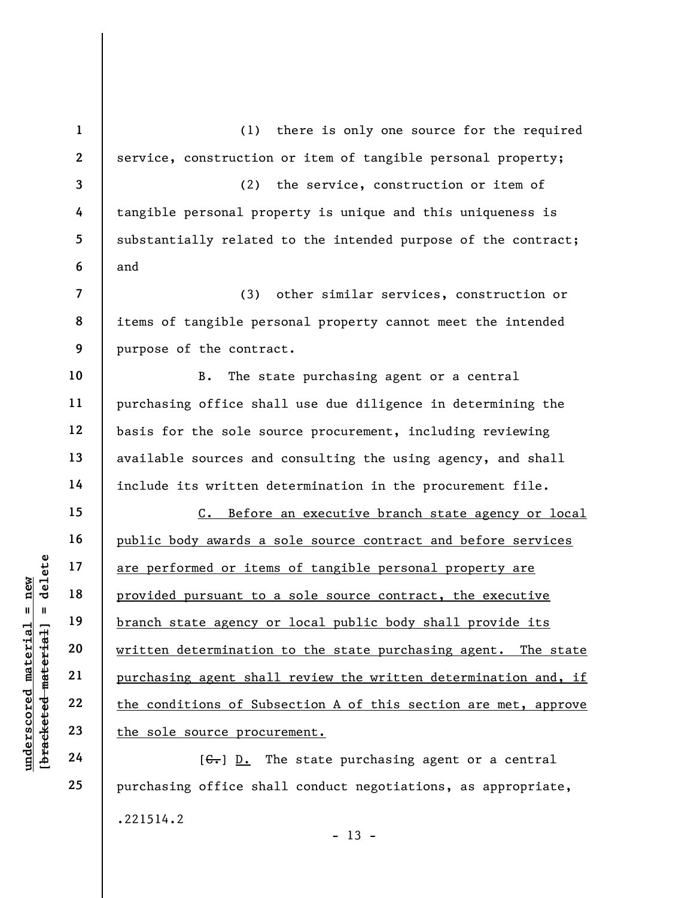underscored material = new [bracketed material] = delete 1 2 3 4 5 6 7 8 9 10 11 12 13 14 15 16 17 18 19 20 21 22 23 24 (1) there is only one source for the required service, construction or item of tangible personal property; (2) the service, construction or item of tangible personal property is unique and this uniqueness is substantially related to the intended purpose of the contract; and (3) other similar services, construction or items of tangible personal property cannot meet the intended purpose of the contract. B. The state purchasing agent or a central purchasing office shall use due diligence in determining the basis for the sole source procurement, including reviewing available sources and consulting the using agency, and shall include its written determination in the procurement file. C. Before an executive branch state agency or local public body awards a sole source contract and before services are performed or items of tangible personal property are provided pursuant to a sole source contract, the executive branch state agency or local public body shall provide its written determination to the state purchasing agent. The state purchasing agent shall review the written determination and, if the conditions of Subsection A of this section are met, approve the sole source procurement.  $[G<sub>r</sub>]$  D. The state purchasing agent or a central

purchasing office shall conduct negotiations, as appropriate, .221514.2  $- 13 -$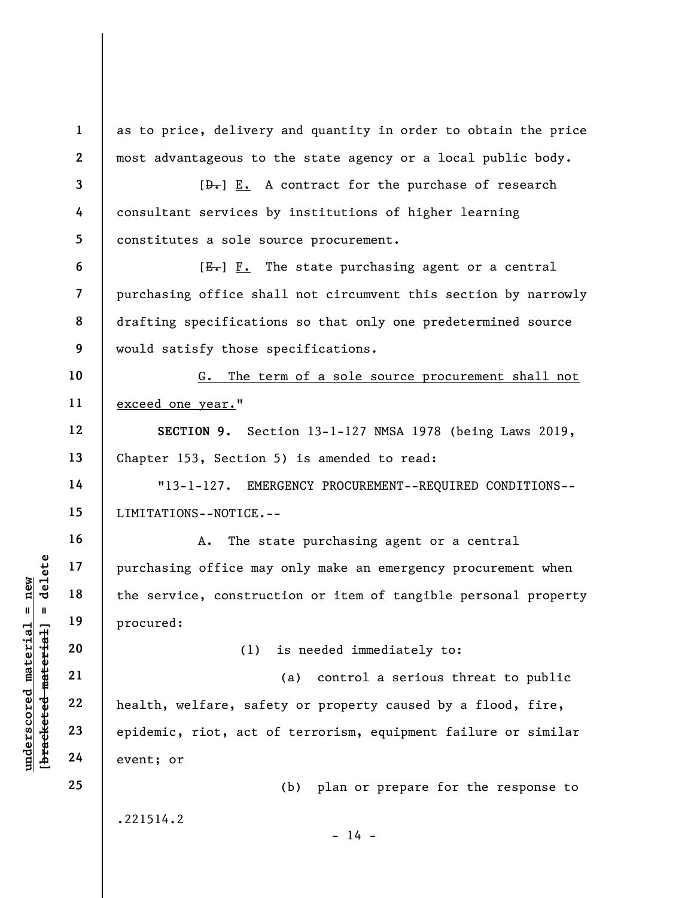underschied material erable material erable material erable material erable material erable material erable material erable material erable material erable material erable material erable material erable material erable ma 1 2 3 4 5 6 7 8 9 10 11 12 13 14 15 16 17 18 19 20 21 22 23 24 25 as to price, delivery and quantity in order to obtain the price most advantageous to the state agency or a local public body.  $[\frac{D-1}{2}]$  E. A contract for the purchase of research consultant services by institutions of higher learning constitutes a sole source procurement.  $[E_r]$   $F.$  The state purchasing agent or a central purchasing office shall not circumvent this section by narrowly drafting specifications so that only one predetermined source would satisfy those specifications. G. The term of a sole source procurement shall not exceed one year." SECTION 9. Section 13-1-127 NMSA 1978 (being Laws 2019, Chapter 153, Section 5) is amended to read: "13-1-127. EMERGENCY PROCUREMENT--REQUIRED CONDITIONS-- LIMITATIONS--NOTICE.-- A. The state purchasing agent or a central purchasing office may only make an emergency procurement when the service, construction or item of tangible personal property procured: (1) is needed immediately to: (a) control a serious threat to public health, welfare, safety or property caused by a flood, fire, epidemic, riot, act of terrorism, equipment failure or similar event; or (b) plan or prepare for the response to .221514.2  $- 14 -$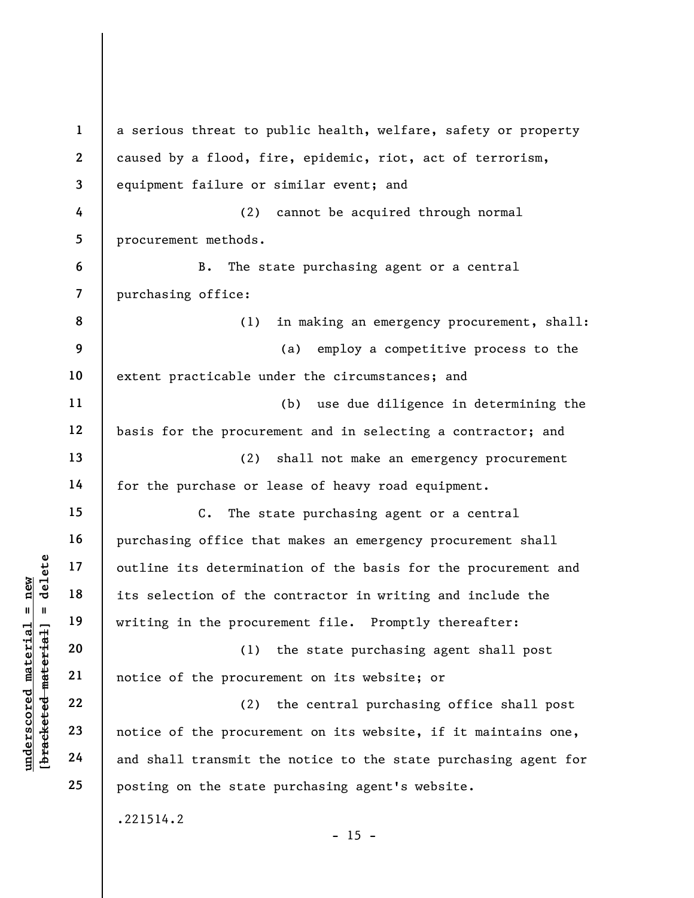underscored material = new [bracketed material] = delete 1 2 3 4 5 6 7 8 9 10 11 12 13 14 15 16 17 18 19 20 21 22 23 24 25 a serious threat to public health, welfare, safety or property caused by a flood, fire, epidemic, riot, act of terrorism, equipment failure or similar event; and (2) cannot be acquired through normal procurement methods. B. The state purchasing agent or a central purchasing office: (1) in making an emergency procurement, shall: (a) employ a competitive process to the extent practicable under the circumstances; and (b) use due diligence in determining the basis for the procurement and in selecting a contractor; and (2) shall not make an emergency procurement for the purchase or lease of heavy road equipment. C. The state purchasing agent or a central purchasing office that makes an emergency procurement shall outline its determination of the basis for the procurement and its selection of the contractor in writing and include the writing in the procurement file. Promptly thereafter: (1) the state purchasing agent shall post notice of the procurement on its website; or (2) the central purchasing office shall post notice of the procurement on its website, if it maintains one, and shall transmit the notice to the state purchasing agent for posting on the state purchasing agent's website. .221514.2  $- 15 -$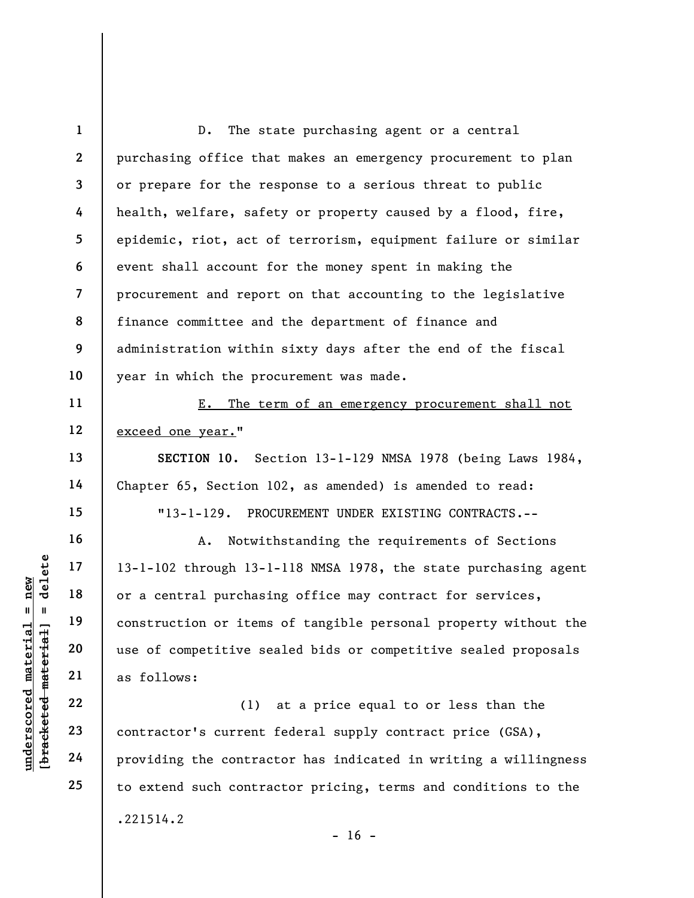1 2 3 4 5 6 7 8 9 10 11 12 D. The state purchasing agent or a central purchasing office that makes an emergency procurement to plan or prepare for the response to a serious threat to public health, welfare, safety or property caused by a flood, fire, epidemic, riot, act of terrorism, equipment failure or similar event shall account for the money spent in making the procurement and report on that accounting to the legislative finance committee and the department of finance and administration within sixty days after the end of the fiscal year in which the procurement was made. E. The term of an emergency procurement shall not exceed one year."

SECTION 10. Section 13-1-129 NMSA 1978 (being Laws 1984, Chapter 65, Section 102, as amended) is amended to read:

"13-1-129. PROCUREMENT UNDER EXISTING CONTRACTS.--

underscored material providing the contractor's current<br>gradient derivant probability of a central purchasing the set of competitive set as follows:<br>and the set of competitive set as follows:<br>and the set of contractor's cu A. Notwithstanding the requirements of Sections 13-1-102 through 13-1-118 NMSA 1978, the state purchasing agent or a central purchasing office may contract for services, construction or items of tangible personal property without the use of competitive sealed bids or competitive sealed proposals as follows:

(1) at a price equal to or less than the contractor's current federal supply contract price (GSA), providing the contractor has indicated in writing a willingness to extend such contractor pricing, terms and conditions to the .221514.2  $- 16 -$ 

13

14

15

16

17

18

19

20

21

22

23

24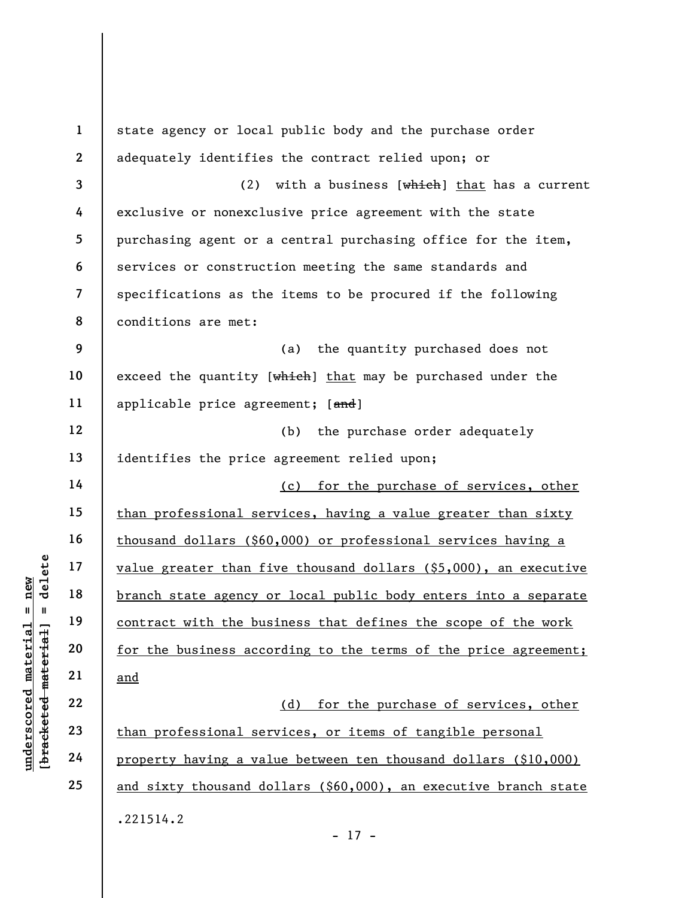|                                             | $\mathbf{1}$            | state agency or local public body and the purchase order           |
|---------------------------------------------|-------------------------|--------------------------------------------------------------------|
|                                             | $\mathbf{2}$            | adequately identifies the contract relied upon; or                 |
|                                             | $\overline{\mathbf{3}}$ | with a business [which] that has a current<br>(2)                  |
|                                             | 4                       | exclusive or nonexclusive price agreement with the state           |
|                                             | 5                       | purchasing agent or a central purchasing office for the item,      |
|                                             | 6                       | services or construction meeting the same standards and            |
|                                             | 7                       | specifications as the items to be procured if the following        |
|                                             | 8                       | conditions are met:                                                |
|                                             | 9                       | the quantity purchased does not<br>(a)                             |
|                                             | 10                      | exceed the quantity [which] that may be purchased under the        |
|                                             | 11                      | applicable price agreement; [and]                                  |
|                                             | 12                      | the purchase order adequately<br>(b)                               |
|                                             | 13                      | identifies the price agreement relied upon;                        |
|                                             | 14                      | (c) for the purchase of services, other                            |
|                                             | 15                      | than professional services, having a value greater than sixty      |
|                                             | 16                      | thousand dollars (\$60,000) or professional services having a      |
| delete                                      | 17                      | value greater than five thousand dollars (\$5,000), an executive   |
| new                                         | 18                      | branch state agency or local public body enters into a separate    |
| Ш<br>Ш                                      | 19                      | contract with the business that defines the scope of the work      |
| underscored material<br>[bracketed material | 20                      | for the business according to the terms of the price agreement;    |
|                                             | 21                      | <u>and</u>                                                         |
|                                             | 22                      | for the purchase of services, other<br>(d)                         |
|                                             | 23                      | than professional services, or items of tangible personal          |
|                                             | 24                      | property having a value between ten thousand dollars (\$10,000)    |
|                                             | 25                      | and sixty thousand dollars $(§60,000)$ , an executive branch state |
|                                             |                         | .221514.2                                                          |
|                                             |                         | $-17 -$                                                            |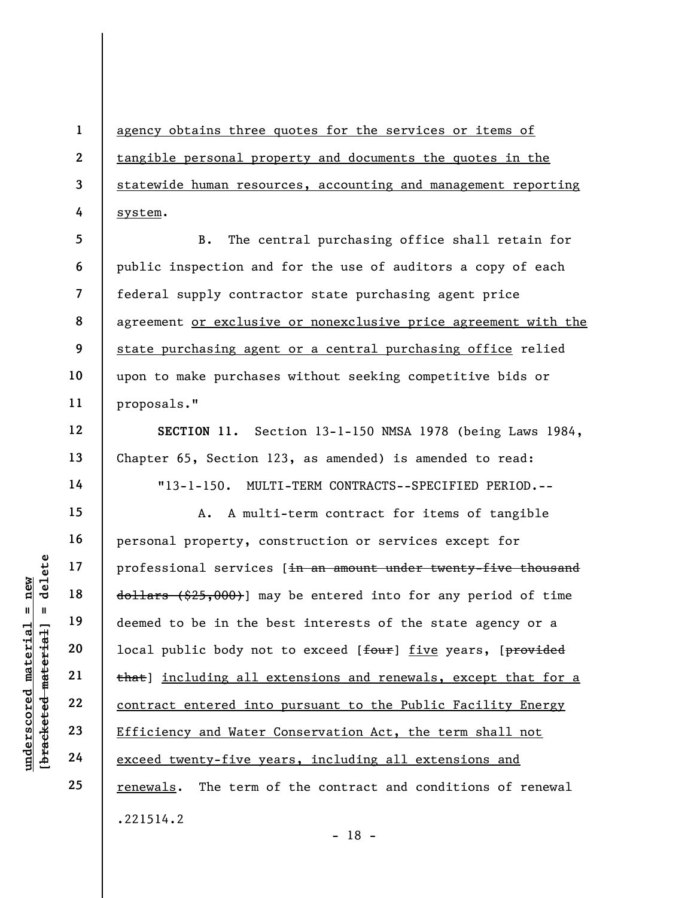1 2 3 4 agency obtains three quotes for the services or items of tangible personal property and documents the quotes in the statewide human resources, accounting and management reporting system.

5 6 7 8 9 10 11 B. The central purchasing office shall retain for public inspection and for the use of auditors a copy of each federal supply contractor state purchasing agent price agreement or exclusive or nonexclusive price agreement with the state purchasing agent or a central purchasing office relied upon to make purchases without seeking competitive bids or proposals."

SECTION 11. Section 13-1-150 NMSA 1978 (being Laws 1984, Chapter 65, Section 123, as amended) is amended to read:

"13-1-150. MULTI-TERM CONTRACTS--SPECIFIED PERIOD.--

understand material services<br>  $\begin{array}{c|c|c} \texttt{u} & \texttt{u} & \texttt{u} & \texttt{u} \\ \hline \texttt{u} & \texttt{u} & \texttt{u} & \texttt{u} \\ \texttt{u} & \texttt{u} & \texttt{u} & \texttt{u} \\ \texttt{u} & \texttt{u} & \texttt{u} & \texttt{u} \\ \texttt{u} & \texttt{u} & \texttt{u} & \texttt{u} \\ \texttt{u} & \texttt{u} & \texttt{u} & \texttt{u} \\ \texttt{u} & \text$ A. A multi-term contract for items of tangible personal property, construction or services except for professional services [in an amount under twenty-five thousand dollars (\$25,000)] may be entered into for any period of time deemed to be in the best interests of the state agency or a local public body not to exceed [four] five years, [provided that] including all extensions and renewals, except that for a contract entered into pursuant to the Public Facility Energy Efficiency and Water Conservation Act, the term shall not exceed twenty-five years, including all extensions and renewals. The term of the contract and conditions of renewal .221514.2

12

13

14

15

16

17

18

19

20

21

22

23

24

25

- 18 -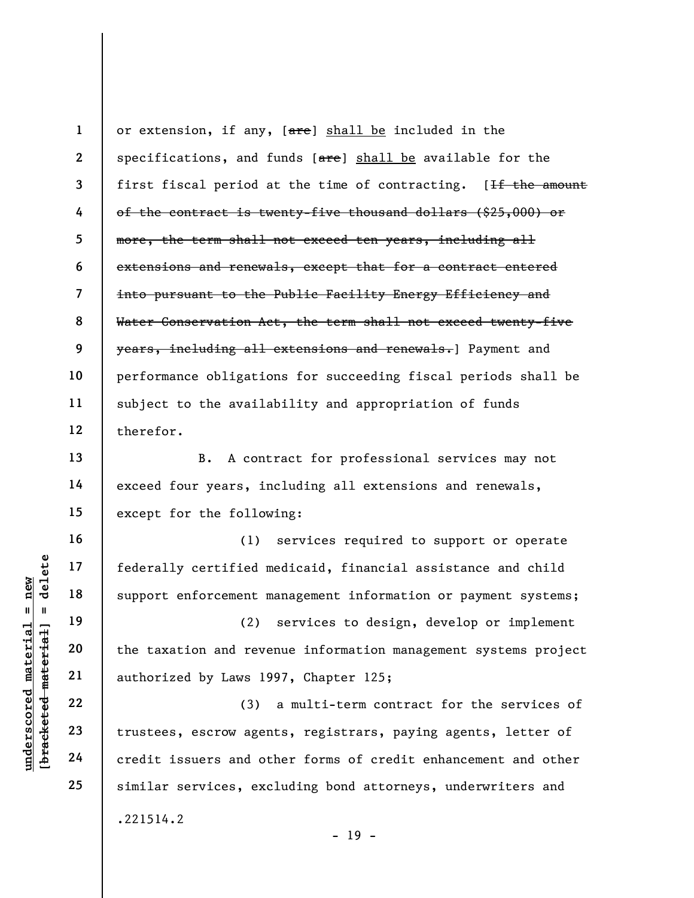1 2 3 4 5 6 7 8 9 10 11 12 or extension, if any, [are] shall be included in the specifications, and funds  $[**are**]$  shall be available for the first fiscal period at the time of contracting. [If the amount of the contract is twenty-five thousand dollars (\$25,000) or more, the term shall not exceed ten years, including all extensions and renewals, except that for a contract entered into pursuant to the Public Facility Energy Efficiency and Water Conservation Act, the term shall not exceed twenty-five years, including all extensions and renewals.] Payment and performance obligations for succeeding fiscal periods shall be subject to the availability and appropriation of funds therefor.

B. A contract for professional services may not exceed four years, including all extensions and renewals, except for the following:

(1) services required to support or operate federally certified medicaid, financial assistance and child support enforcement management information or payment systems;

(2) services to design, develop or implement the taxation and revenue information management systems project authorized by Laws 1997, Chapter 125;

underscored material = new [bracketed material] = delete (3) a multi-term contract for the services of trustees, escrow agents, registrars, paying agents, letter of credit issuers and other forms of credit enhancement and other similar services, excluding bond attorneys, underwriters and .221514.2

13

14

15

16

17

18

19

20

21

22

23

24

25

 $- 19 -$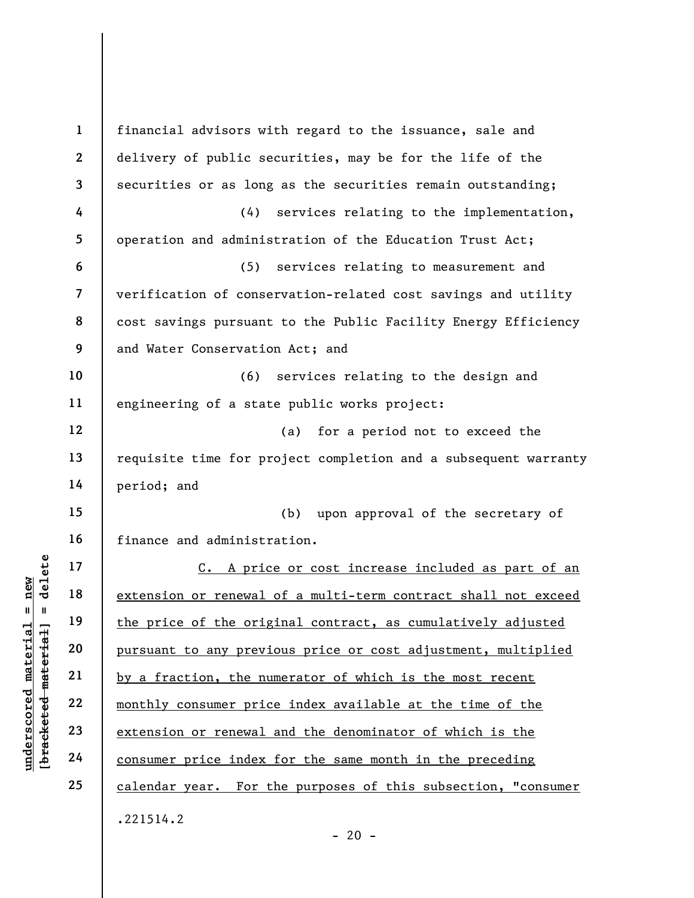underscored material = new [bracketed material] = delete 1 2 3 4 5 6 7 8 9 10 11 12 13 14 15 16 17 18 19 20 21 22 23 24 25 financial advisors with regard to the issuance, sale and delivery of public securities, may be for the life of the securities or as long as the securities remain outstanding; (4) services relating to the implementation, operation and administration of the Education Trust Act; (5) services relating to measurement and verification of conservation-related cost savings and utility cost savings pursuant to the Public Facility Energy Efficiency and Water Conservation Act; and (6) services relating to the design and engineering of a state public works project: (a) for a period not to exceed the requisite time for project completion and a subsequent warranty period; and (b) upon approval of the secretary of finance and administration. C. A price or cost increase included as part of an extension or renewal of a multi-term contract shall not exceed the price of the original contract, as cumulatively adjusted pursuant to any previous price or cost adjustment, multiplied by a fraction, the numerator of which is the most recent monthly consumer price index available at the time of the extension or renewal and the denominator of which is the consumer price index for the same month in the preceding calendar year. For the purposes of this subsection, "consumer .221514.2

 $- 20 -$